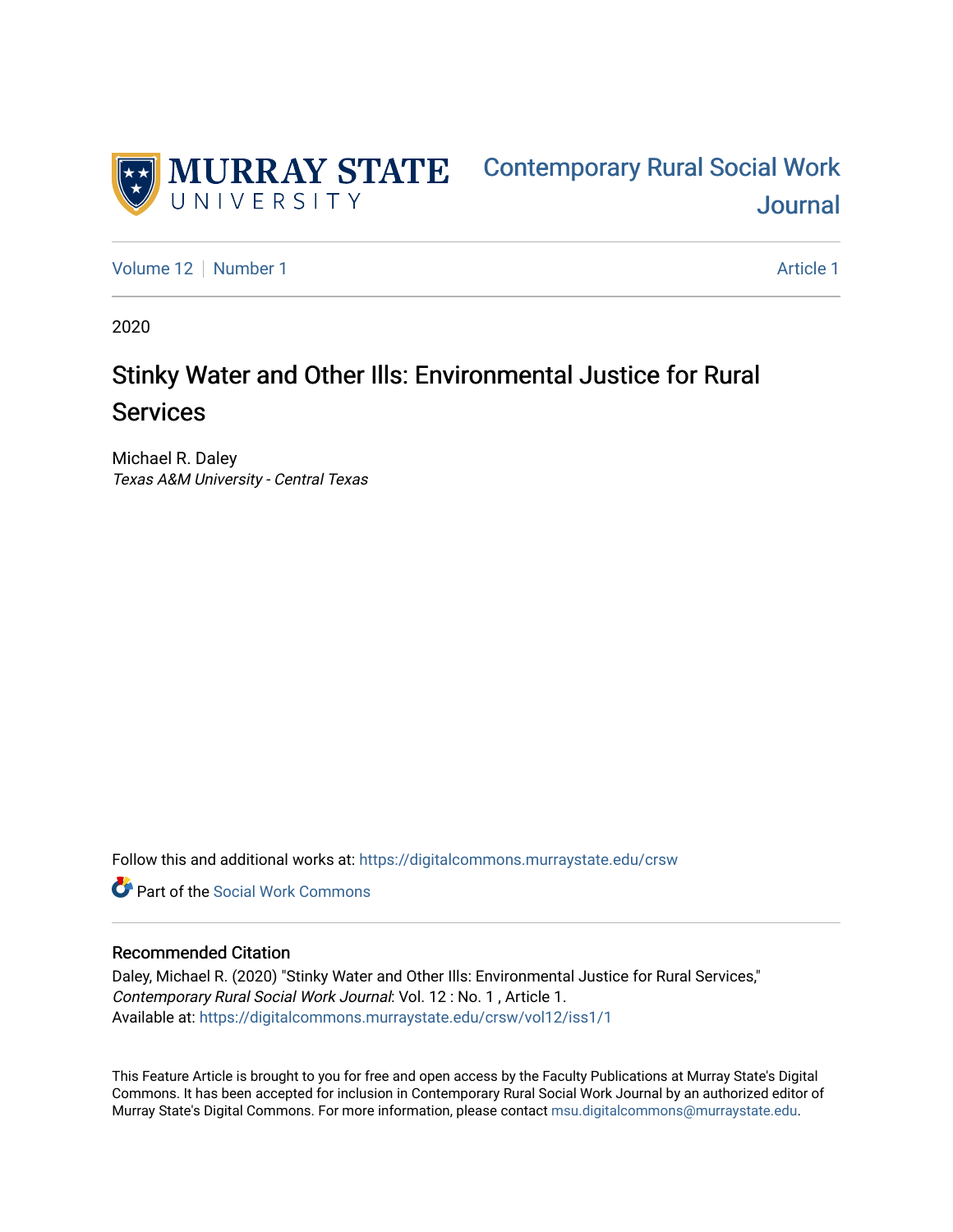

[Volume 12](https://digitalcommons.murraystate.edu/crsw/vol12) [Number 1](https://digitalcommons.murraystate.edu/crsw/vol12/iss1) and 1 [Article 1](https://digitalcommons.murraystate.edu/crsw/vol12/iss1/1) Article 1 Article 1 Article 1 Article 1 Article 1

2020

# Stinky Water and Other Ills: Environmental Justice for Rural Services

Michael R. Daley Texas A&M University - Central Texas

Follow this and additional works at: [https://digitalcommons.murraystate.edu/crsw](https://digitalcommons.murraystate.edu/crsw?utm_source=digitalcommons.murraystate.edu%2Fcrsw%2Fvol12%2Fiss1%2F1&utm_medium=PDF&utm_campaign=PDFCoverPages) 

**C** Part of the [Social Work Commons](http://network.bepress.com/hgg/discipline/713?utm_source=digitalcommons.murraystate.edu%2Fcrsw%2Fvol12%2Fiss1%2F1&utm_medium=PDF&utm_campaign=PDFCoverPages)

#### Recommended Citation

Daley, Michael R. (2020) "Stinky Water and Other Ills: Environmental Justice for Rural Services," Contemporary Rural Social Work Journal: Vol. 12 : No. 1 , Article 1. Available at: [https://digitalcommons.murraystate.edu/crsw/vol12/iss1/1](https://digitalcommons.murraystate.edu/crsw/vol12/iss1/1?utm_source=digitalcommons.murraystate.edu%2Fcrsw%2Fvol12%2Fiss1%2F1&utm_medium=PDF&utm_campaign=PDFCoverPages) 

This Feature Article is brought to you for free and open access by the Faculty Publications at Murray State's Digital Commons. It has been accepted for inclusion in Contemporary Rural Social Work Journal by an authorized editor of Murray State's Digital Commons. For more information, please contact [msu.digitalcommons@murraystate.edu](mailto:msu.digitalcommons@murraystate.edu).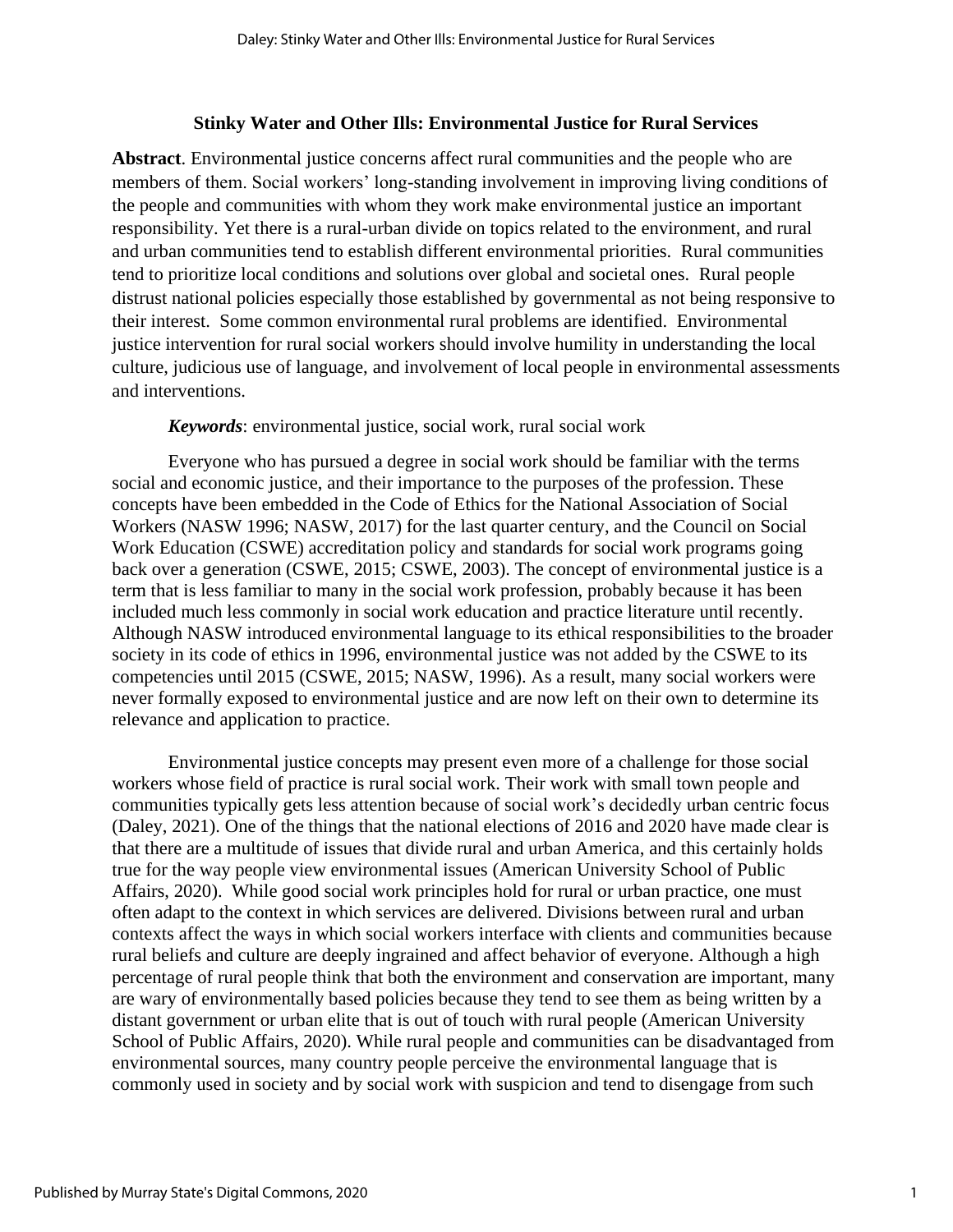#### **Stinky Water and Other Ills: Environmental Justice for Rural Services**

**Abstract**. Environmental justice concerns affect rural communities and the people who are members of them. Social workers' long-standing involvement in improving living conditions of the people and communities with whom they work make environmental justice an important responsibility. Yet there is a rural-urban divide on topics related to the environment, and rural and urban communities tend to establish different environmental priorities. Rural communities tend to prioritize local conditions and solutions over global and societal ones. Rural people distrust national policies especially those established by governmental as not being responsive to their interest. Some common environmental rural problems are identified. Environmental justice intervention for rural social workers should involve humility in understanding the local culture, judicious use of language, and involvement of local people in environmental assessments and interventions.

*Keywords*: environmental justice, social work, rural social work

Everyone who has pursued a degree in social work should be familiar with the terms social and economic justice, and their importance to the purposes of the profession. These concepts have been embedded in the Code of Ethics for the National Association of Social Workers (NASW 1996; NASW, 2017) for the last quarter century, and the Council on Social Work Education (CSWE) accreditation policy and standards for social work programs going back over a generation (CSWE, 2015; CSWE, 2003). The concept of environmental justice is a term that is less familiar to many in the social work profession, probably because it has been included much less commonly in social work education and practice literature until recently. Although NASW introduced environmental language to its ethical responsibilities to the broader society in its code of ethics in 1996, environmental justice was not added by the CSWE to its competencies until 2015 (CSWE, 2015; NASW, 1996). As a result, many social workers were never formally exposed to environmental justice and are now left on their own to determine its relevance and application to practice.

Environmental justice concepts may present even more of a challenge for those social workers whose field of practice is rural social work. Their work with small town people and communities typically gets less attention because of social work's decidedly urban centric focus (Daley, 2021). One of the things that the national elections of 2016 and 2020 have made clear is that there are a multitude of issues that divide rural and urban America, and this certainly holds true for the way people view environmental issues (American University School of Public Affairs, 2020). While good social work principles hold for rural or urban practice, one must often adapt to the context in which services are delivered. Divisions between rural and urban contexts affect the ways in which social workers interface with clients and communities because rural beliefs and culture are deeply ingrained and affect behavior of everyone. Although a high percentage of rural people think that both the environment and conservation are important, many are wary of environmentally based policies because they tend to see them as being written by a distant government or urban elite that is out of touch with rural people (American University School of Public Affairs, 2020). While rural people and communities can be disadvantaged from environmental sources, many country people perceive the environmental language that is commonly used in society and by social work with suspicion and tend to disengage from such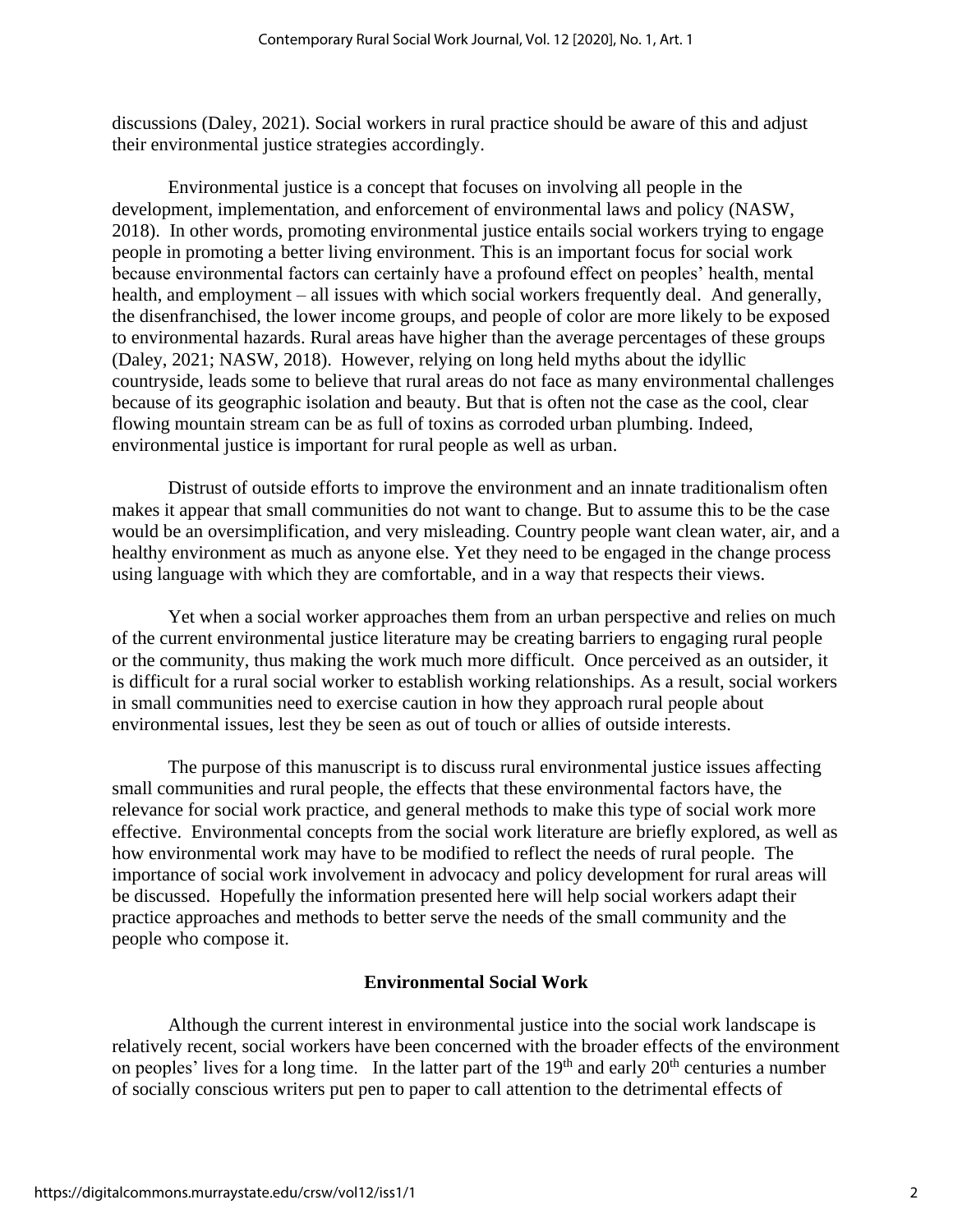discussions (Daley, 2021). Social workers in rural practice should be aware of this and adjust their environmental justice strategies accordingly.

Environmental justice is a concept that focuses on involving all people in the development, implementation, and enforcement of environmental laws and policy (NASW, 2018). In other words, promoting environmental justice entails social workers trying to engage people in promoting a better living environment. This is an important focus for social work because environmental factors can certainly have a profound effect on peoples' health, mental health, and employment – all issues with which social workers frequently deal. And generally, the disenfranchised, the lower income groups, and people of color are more likely to be exposed to environmental hazards. Rural areas have higher than the average percentages of these groups (Daley, 2021; NASW, 2018). However, relying on long held myths about the idyllic countryside, leads some to believe that rural areas do not face as many environmental challenges because of its geographic isolation and beauty. But that is often not the case as the cool, clear flowing mountain stream can be as full of toxins as corroded urban plumbing. Indeed, environmental justice is important for rural people as well as urban.

Distrust of outside efforts to improve the environment and an innate traditionalism often makes it appear that small communities do not want to change. But to assume this to be the case would be an oversimplification, and very misleading. Country people want clean water, air, and a healthy environment as much as anyone else. Yet they need to be engaged in the change process using language with which they are comfortable, and in a way that respects their views.

Yet when a social worker approaches them from an urban perspective and relies on much of the current environmental justice literature may be creating barriers to engaging rural people or the community, thus making the work much more difficult. Once perceived as an outsider, it is difficult for a rural social worker to establish working relationships. As a result, social workers in small communities need to exercise caution in how they approach rural people about environmental issues, lest they be seen as out of touch or allies of outside interests.

The purpose of this manuscript is to discuss rural environmental justice issues affecting small communities and rural people, the effects that these environmental factors have, the relevance for social work practice, and general methods to make this type of social work more effective. Environmental concepts from the social work literature are briefly explored, as well as how environmental work may have to be modified to reflect the needs of rural people. The importance of social work involvement in advocacy and policy development for rural areas will be discussed. Hopefully the information presented here will help social workers adapt their practice approaches and methods to better serve the needs of the small community and the people who compose it.

## **Environmental Social Work**

Although the current interest in environmental justice into the social work landscape is relatively recent, social workers have been concerned with the broader effects of the environment on peoples' lives for a long time. In the latter part of the 19<sup>th</sup> and early 20<sup>th</sup> centuries a number of socially conscious writers put pen to paper to call attention to the detrimental effects of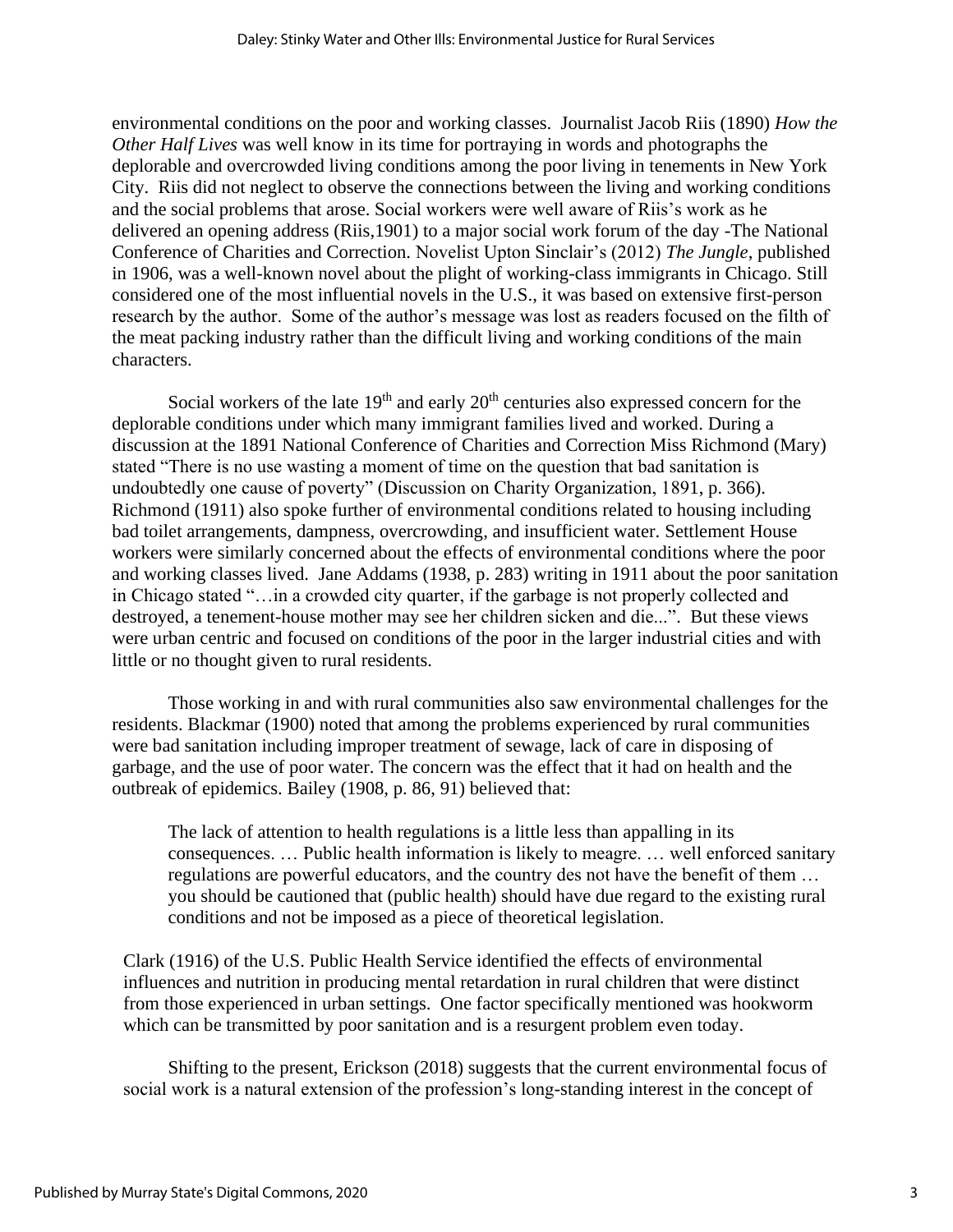environmental conditions on the poor and working classes. Journalist Jacob Riis (1890) *How the Other Half Lives* was well know in its time for portraying in words and photographs the deplorable and overcrowded living conditions among the poor living in tenements in New York City. Riis did not neglect to observe the connections between the living and working conditions and the social problems that arose. Social workers were well aware of Riis's work as he delivered an opening address (Riis,1901) to a major social work forum of the day -The National Conference of Charities and Correction. Novelist Upton Sinclair's (2012) *The Jungle*, published in 1906, was a well-known novel about the plight of working-class immigrants in Chicago. Still considered one of the most influential novels in the U.S., it was based on extensive first-person research by the author. Some of the author's message was lost as readers focused on the filth of the meat packing industry rather than the difficult living and working conditions of the main characters.

Social workers of the late  $19<sup>th</sup>$  and early  $20<sup>th</sup>$  centuries also expressed concern for the deplorable conditions under which many immigrant families lived and worked. During a discussion at the 1891 National Conference of Charities and Correction Miss Richmond (Mary) stated "There is no use wasting a moment of time on the question that bad sanitation is undoubtedly one cause of poverty" (Discussion on Charity Organization, 1891, p. 366). Richmond (1911) also spoke further of environmental conditions related to housing including bad toilet arrangements, dampness, overcrowding, and insufficient water. Settlement House workers were similarly concerned about the effects of environmental conditions where the poor and working classes lived. Jane Addams (1938, p. 283) writing in 1911 about the poor sanitation in Chicago stated "…in a crowded city quarter, if the garbage is not properly collected and destroyed, a tenement-house mother may see her children sicken and die...". But these views were urban centric and focused on conditions of the poor in the larger industrial cities and with little or no thought given to rural residents.

Those working in and with rural communities also saw environmental challenges for the residents. Blackmar (1900) noted that among the problems experienced by rural communities were bad sanitation including improper treatment of sewage, lack of care in disposing of garbage, and the use of poor water. The concern was the effect that it had on health and the outbreak of epidemics. Bailey (1908, p. 86, 91) believed that:

The lack of attention to health regulations is a little less than appalling in its consequences. … Public health information is likely to meagre. … well enforced sanitary regulations are powerful educators, and the country des not have the benefit of them … you should be cautioned that (public health) should have due regard to the existing rural conditions and not be imposed as a piece of theoretical legislation.

Clark (1916) of the U.S. Public Health Service identified the effects of environmental influences and nutrition in producing mental retardation in rural children that were distinct from those experienced in urban settings. One factor specifically mentioned was hookworm which can be transmitted by poor sanitation and is a resurgent problem even today.

Shifting to the present, Erickson (2018) suggests that the current environmental focus of social work is a natural extension of the profession's long-standing interest in the concept of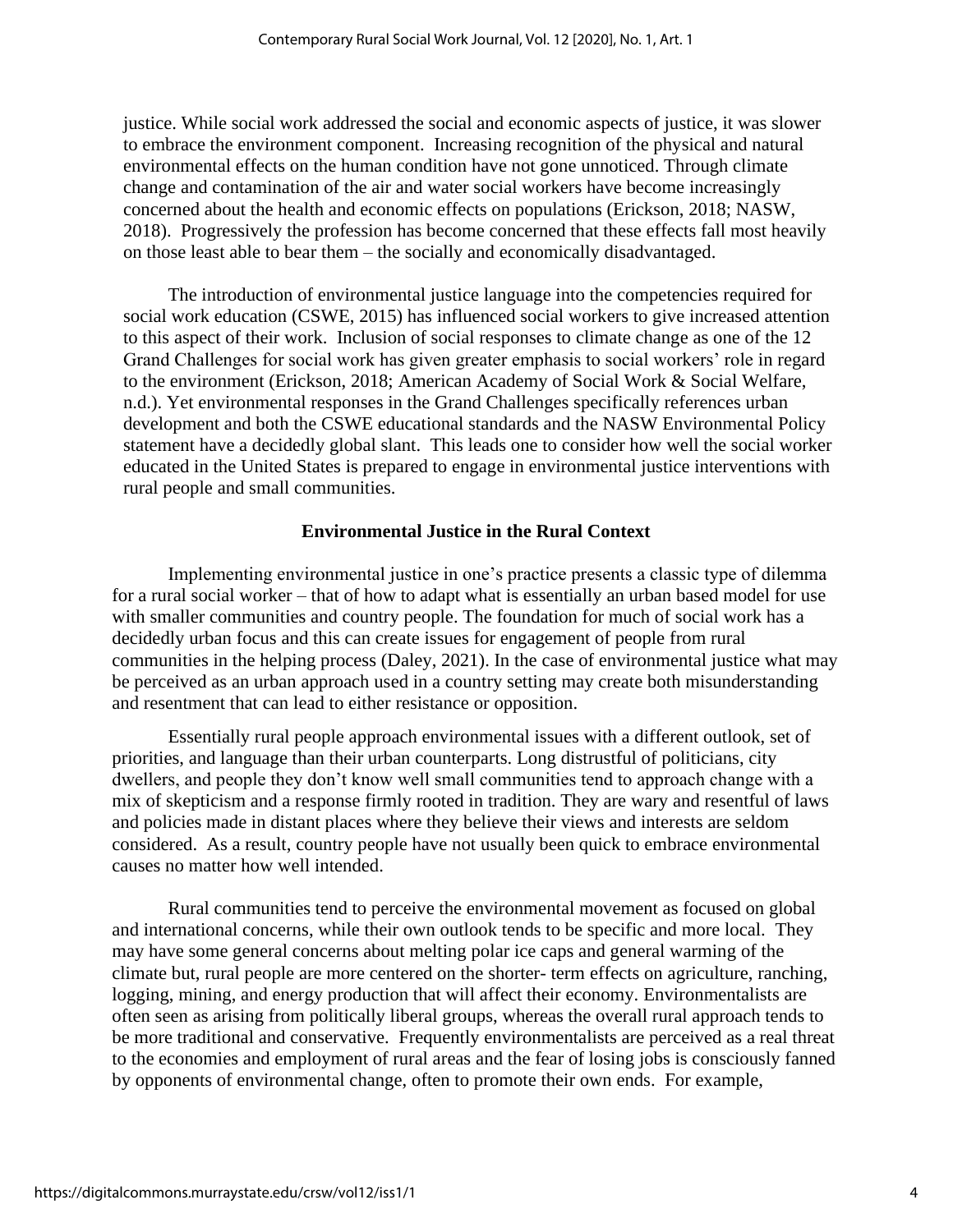justice. While social work addressed the social and economic aspects of justice, it was slower to embrace the environment component. Increasing recognition of the physical and natural environmental effects on the human condition have not gone unnoticed. Through climate change and contamination of the air and water social workers have become increasingly concerned about the health and economic effects on populations (Erickson, 2018; NASW, 2018). Progressively the profession has become concerned that these effects fall most heavily on those least able to bear them – the socially and economically disadvantaged.

The introduction of environmental justice language into the competencies required for social work education (CSWE, 2015) has influenced social workers to give increased attention to this aspect of their work. Inclusion of social responses to climate change as one of the 12 Grand Challenges for social work has given greater emphasis to social workers' role in regard to the environment (Erickson, 2018; American Academy of Social Work & Social Welfare, n.d.). Yet environmental responses in the Grand Challenges specifically references urban development and both the CSWE educational standards and the NASW Environmental Policy statement have a decidedly global slant. This leads one to consider how well the social worker educated in the United States is prepared to engage in environmental justice interventions with rural people and small communities.

## **Environmental Justice in the Rural Context**

Implementing environmental justice in one's practice presents a classic type of dilemma for a rural social worker – that of how to adapt what is essentially an urban based model for use with smaller communities and country people. The foundation for much of social work has a decidedly urban focus and this can create issues for engagement of people from rural communities in the helping process (Daley, 2021). In the case of environmental justice what may be perceived as an urban approach used in a country setting may create both misunderstanding and resentment that can lead to either resistance or opposition.

Essentially rural people approach environmental issues with a different outlook, set of priorities, and language than their urban counterparts. Long distrustful of politicians, city dwellers, and people they don't know well small communities tend to approach change with a mix of skepticism and a response firmly rooted in tradition. They are wary and resentful of laws and policies made in distant places where they believe their views and interests are seldom considered. As a result, country people have not usually been quick to embrace environmental causes no matter how well intended.

Rural communities tend to perceive the environmental movement as focused on global and international concerns, while their own outlook tends to be specific and more local. They may have some general concerns about melting polar ice caps and general warming of the climate but, rural people are more centered on the shorter- term effects on agriculture, ranching, logging, mining, and energy production that will affect their economy. Environmentalists are often seen as arising from politically liberal groups, whereas the overall rural approach tends to be more traditional and conservative. Frequently environmentalists are perceived as a real threat to the economies and employment of rural areas and the fear of losing jobs is consciously fanned by opponents of environmental change, often to promote their own ends. For example,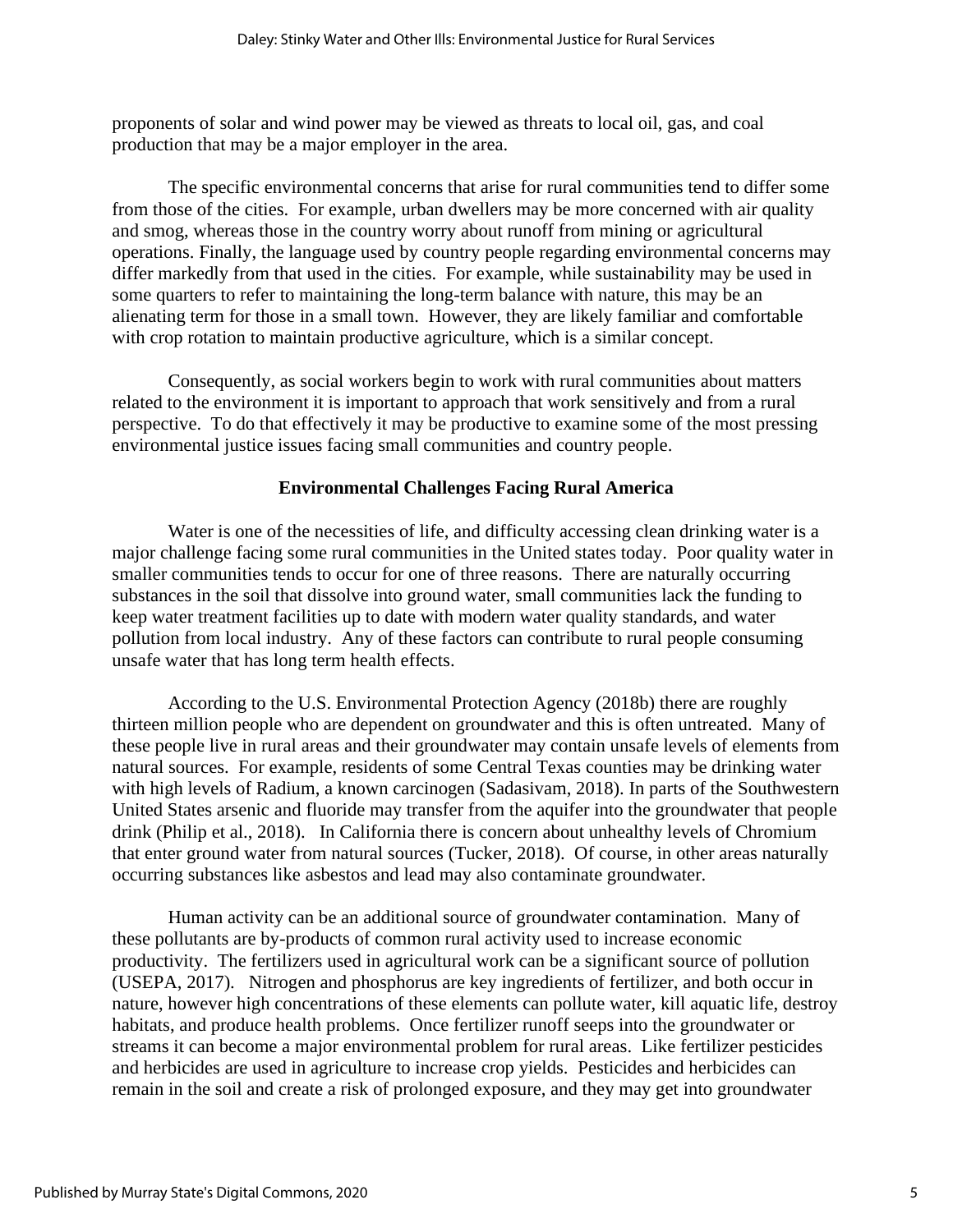proponents of solar and wind power may be viewed as threats to local oil, gas, and coal production that may be a major employer in the area.

The specific environmental concerns that arise for rural communities tend to differ some from those of the cities. For example, urban dwellers may be more concerned with air quality and smog, whereas those in the country worry about runoff from mining or agricultural operations. Finally, the language used by country people regarding environmental concerns may differ markedly from that used in the cities. For example, while sustainability may be used in some quarters to refer to maintaining the long-term balance with nature, this may be an alienating term for those in a small town. However, they are likely familiar and comfortable with crop rotation to maintain productive agriculture, which is a similar concept.

Consequently, as social workers begin to work with rural communities about matters related to the environment it is important to approach that work sensitively and from a rural perspective. To do that effectively it may be productive to examine some of the most pressing environmental justice issues facing small communities and country people.

## **Environmental Challenges Facing Rural America**

Water is one of the necessities of life, and difficulty accessing clean drinking water is a major challenge facing some rural communities in the United states today. Poor quality water in smaller communities tends to occur for one of three reasons. There are naturally occurring substances in the soil that dissolve into ground water, small communities lack the funding to keep water treatment facilities up to date with modern water quality standards, and water pollution from local industry. Any of these factors can contribute to rural people consuming unsafe water that has long term health effects.

According to the U.S. Environmental Protection Agency (2018b) there are roughly thirteen million people who are dependent on groundwater and this is often untreated. Many of these people live in rural areas and their groundwater may contain unsafe levels of elements from natural sources. For example, residents of some Central Texas counties may be drinking water with high levels of Radium, a known carcinogen (Sadasivam, 2018). In parts of the Southwestern United States arsenic and fluoride may transfer from the aquifer into the groundwater that people drink (Philip et al., 2018). In California there is concern about unhealthy levels of Chromium that enter ground water from natural sources (Tucker, 2018). Of course, in other areas naturally occurring substances like asbestos and lead may also contaminate groundwater.

Human activity can be an additional source of groundwater contamination. Many of these pollutants are by-products of common rural activity used to increase economic productivity. The fertilizers used in agricultural work can be a significant source of pollution (USEPA, 2017). Nitrogen and phosphorus are key ingredients of fertilizer, and both occur in nature, however high concentrations of these elements can pollute water, kill aquatic life, destroy habitats, and produce health problems. Once fertilizer runoff seeps into the groundwater or streams it can become a major environmental problem for rural areas. Like fertilizer pesticides and herbicides are used in agriculture to increase crop yields. Pesticides and herbicides can remain in the soil and create a risk of prolonged exposure, and they may get into groundwater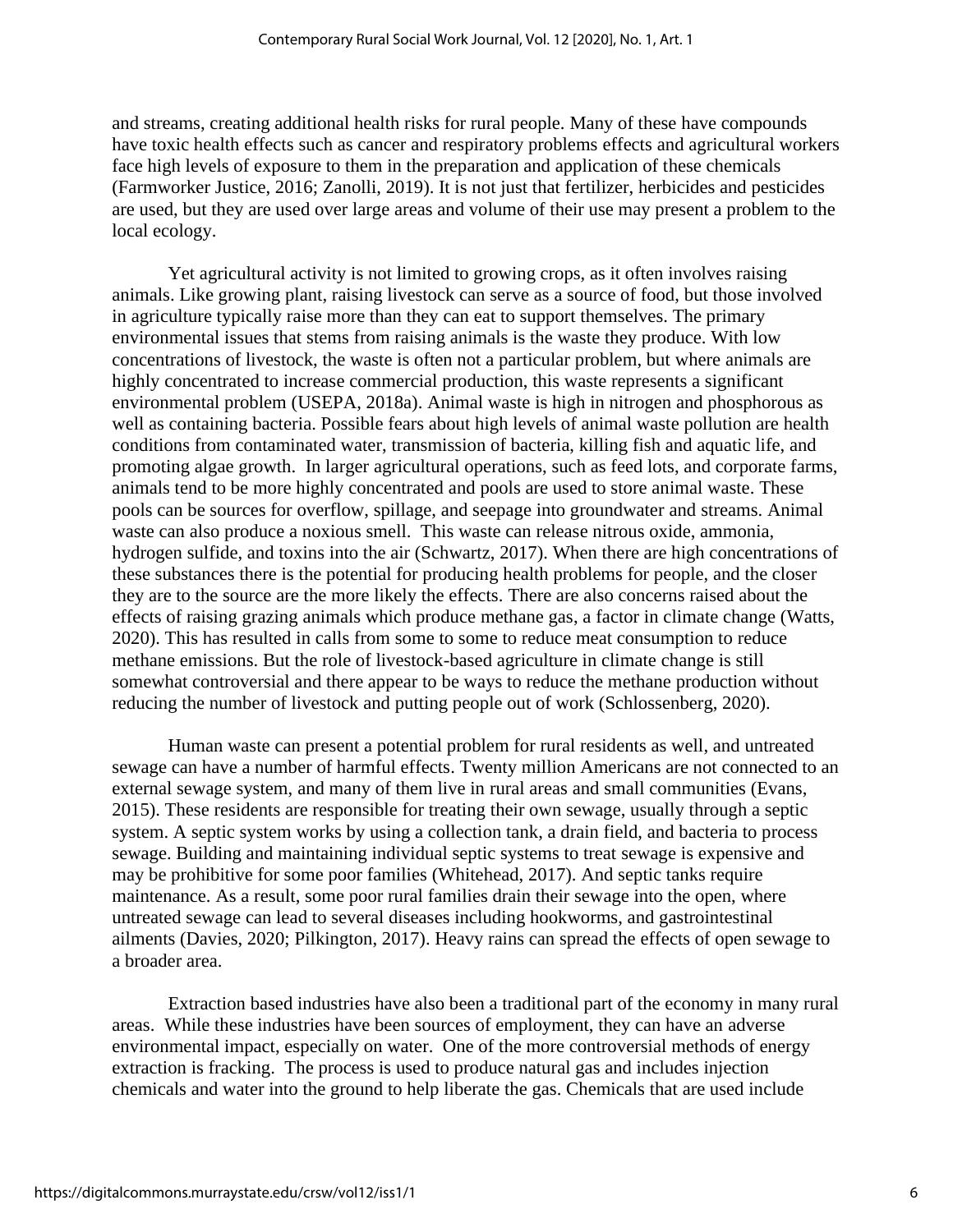and streams, creating additional health risks for rural people. Many of these have compounds have toxic health effects such as cancer and respiratory problems effects and agricultural workers face high levels of exposure to them in the preparation and application of these chemicals (Farmworker Justice, 2016; Zanolli, 2019). It is not just that fertilizer, herbicides and pesticides are used, but they are used over large areas and volume of their use may present a problem to the local ecology.

Yet agricultural activity is not limited to growing crops, as it often involves raising animals. Like growing plant, raising livestock can serve as a source of food, but those involved in agriculture typically raise more than they can eat to support themselves. The primary environmental issues that stems from raising animals is the waste they produce. With low concentrations of livestock, the waste is often not a particular problem, but where animals are highly concentrated to increase commercial production, this waste represents a significant environmental problem (USEPA, 2018a). Animal waste is high in nitrogen and phosphorous as well as containing bacteria. Possible fears about high levels of animal waste pollution are health conditions from contaminated water, transmission of bacteria, killing fish and aquatic life, and promoting algae growth. In larger agricultural operations, such as feed lots, and corporate farms, animals tend to be more highly concentrated and pools are used to store animal waste. These pools can be sources for overflow, spillage, and seepage into groundwater and streams. Animal waste can also produce a noxious smell. This waste can release nitrous oxide, ammonia, hydrogen sulfide, and toxins into the air (Schwartz, 2017). When there are high concentrations of these substances there is the potential for producing health problems for people, and the closer they are to the source are the more likely the effects. There are also concerns raised about the effects of raising grazing animals which produce methane gas, a factor in climate change (Watts, 2020). This has resulted in calls from some to some to reduce meat consumption to reduce methane emissions. But the role of livestock-based agriculture in climate change is still somewhat controversial and there appear to be ways to reduce the methane production without reducing the number of livestock and putting people out of work (Schlossenberg, 2020).

Human waste can present a potential problem for rural residents as well, and untreated sewage can have a number of harmful effects. Twenty million Americans are not connected to an external sewage system, and many of them live in rural areas and small communities (Evans, 2015). These residents are responsible for treating their own sewage, usually through a septic system. A septic system works by using a collection tank, a drain field, and bacteria to process sewage. Building and maintaining individual septic systems to treat sewage is expensive and may be prohibitive for some poor families (Whitehead, 2017). And septic tanks require maintenance. As a result, some poor rural families drain their sewage into the open, where untreated sewage can lead to several diseases including hookworms, and gastrointestinal ailments (Davies, 2020; Pilkington, 2017). Heavy rains can spread the effects of open sewage to a broader area.

Extraction based industries have also been a traditional part of the economy in many rural areas. While these industries have been sources of employment, they can have an adverse environmental impact, especially on water. One of the more controversial methods of energy extraction is fracking. The process is used to produce natural gas and includes injection chemicals and water into the ground to help liberate the gas. Chemicals that are used include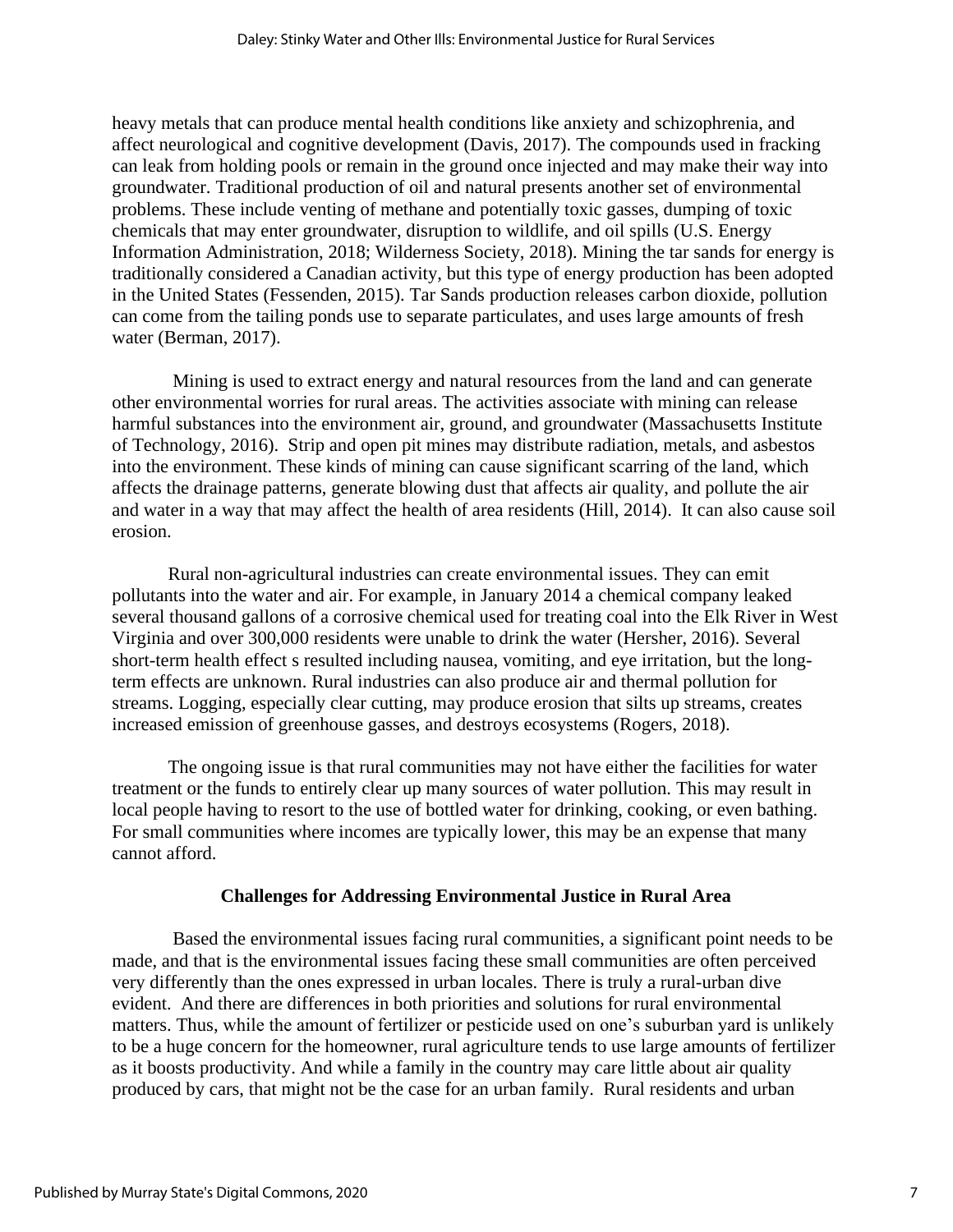heavy metals that can produce mental health conditions like anxiety and schizophrenia, and affect neurological and cognitive development (Davis, 2017). The compounds used in fracking can leak from holding pools or remain in the ground once injected and may make their way into groundwater. Traditional production of oil and natural presents another set of environmental problems. These include venting of methane and potentially toxic gasses, dumping of toxic chemicals that may enter groundwater, disruption to wildlife, and oil spills (U.S. Energy Information Administration, 2018; Wilderness Society, 2018). Mining the tar sands for energy is traditionally considered a Canadian activity, but this type of energy production has been adopted in the United States (Fessenden, 2015). Tar Sands production releases carbon dioxide, pollution can come from the tailing ponds use to separate particulates, and uses large amounts of fresh water (Berman, 2017).

Mining is used to extract energy and natural resources from the land and can generate other environmental worries for rural areas. The activities associate with mining can release harmful substances into the environment air, ground, and groundwater (Massachusetts Institute of Technology, 2016). Strip and open pit mines may distribute radiation, metals, and asbestos into the environment. These kinds of mining can cause significant scarring of the land, which affects the drainage patterns, generate blowing dust that affects air quality, and pollute the air and water in a way that may affect the health of area residents (Hill, 2014). It can also cause soil erosion.

Rural non-agricultural industries can create environmental issues. They can emit pollutants into the water and air. For example, in January 2014 a chemical company leaked several thousand gallons of a corrosive chemical used for treating coal into the Elk River in West Virginia and over 300,000 residents were unable to drink the water (Hersher, 2016). Several short-term health effect s resulted including nausea, vomiting, and eye irritation, but the longterm effects are unknown. Rural industries can also produce air and thermal pollution for streams. Logging, especially clear cutting, may produce erosion that silts up streams, creates increased emission of greenhouse gasses, and destroys ecosystems (Rogers, 2018).

The ongoing issue is that rural communities may not have either the facilities for water treatment or the funds to entirely clear up many sources of water pollution. This may result in local people having to resort to the use of bottled water for drinking, cooking, or even bathing. For small communities where incomes are typically lower, this may be an expense that many cannot afford.

## **Challenges for Addressing Environmental Justice in Rural Area**

Based the environmental issues facing rural communities, a significant point needs to be made, and that is the environmental issues facing these small communities are often perceived very differently than the ones expressed in urban locales. There is truly a rural-urban dive evident. And there are differences in both priorities and solutions for rural environmental matters. Thus, while the amount of fertilizer or pesticide used on one's suburban yard is unlikely to be a huge concern for the homeowner, rural agriculture tends to use large amounts of fertilizer as it boosts productivity. And while a family in the country may care little about air quality produced by cars, that might not be the case for an urban family. Rural residents and urban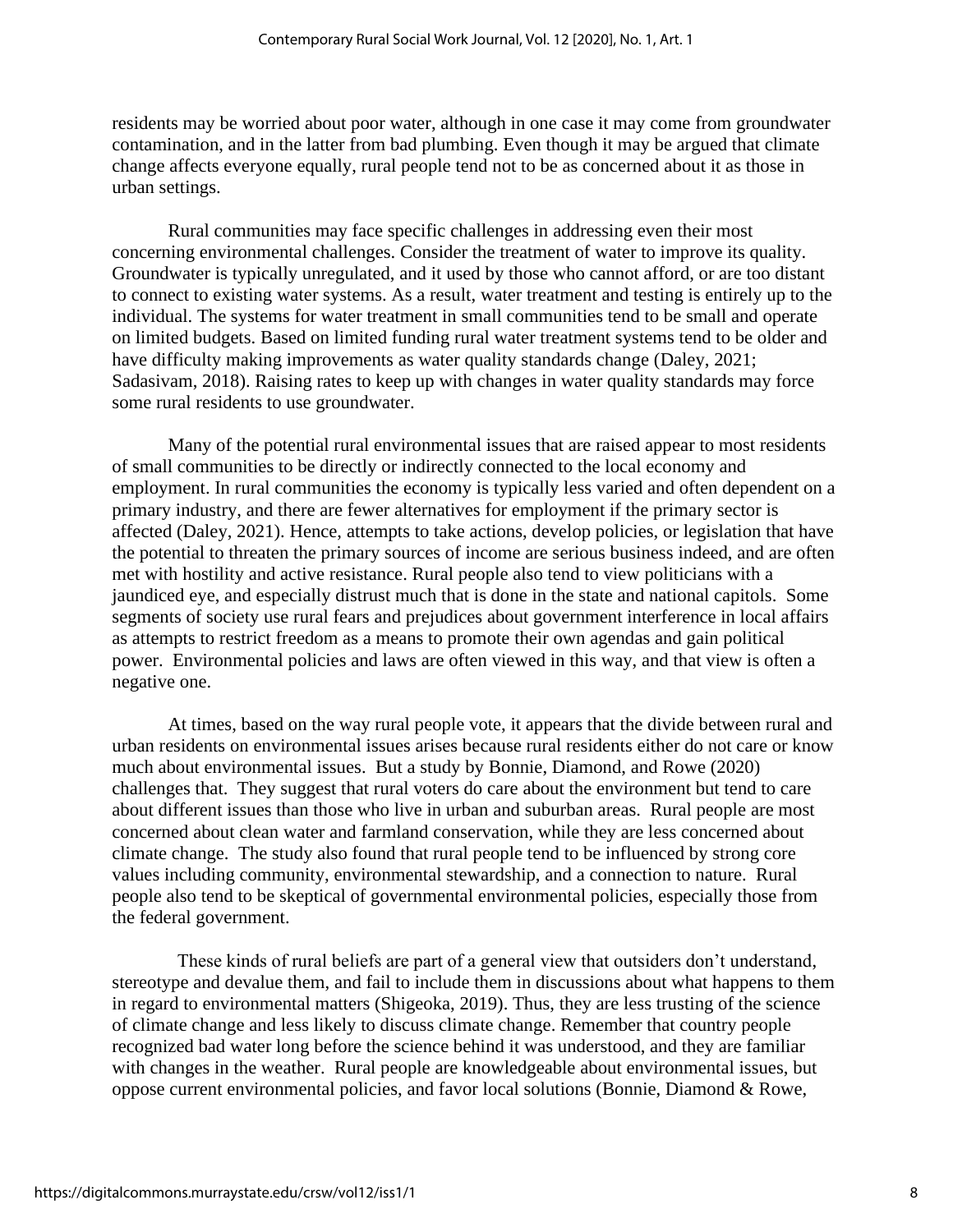residents may be worried about poor water, although in one case it may come from groundwater contamination, and in the latter from bad plumbing. Even though it may be argued that climate change affects everyone equally, rural people tend not to be as concerned about it as those in urban settings.

Rural communities may face specific challenges in addressing even their most concerning environmental challenges. Consider the treatment of water to improve its quality. Groundwater is typically unregulated, and it used by those who cannot afford, or are too distant to connect to existing water systems. As a result, water treatment and testing is entirely up to the individual. The systems for water treatment in small communities tend to be small and operate on limited budgets. Based on limited funding rural water treatment systems tend to be older and have difficulty making improvements as water quality standards change (Daley, 2021; Sadasivam, 2018). Raising rates to keep up with changes in water quality standards may force some rural residents to use groundwater.

Many of the potential rural environmental issues that are raised appear to most residents of small communities to be directly or indirectly connected to the local economy and employment. In rural communities the economy is typically less varied and often dependent on a primary industry, and there are fewer alternatives for employment if the primary sector is affected (Daley, 2021). Hence, attempts to take actions, develop policies, or legislation that have the potential to threaten the primary sources of income are serious business indeed, and are often met with hostility and active resistance. Rural people also tend to view politicians with a jaundiced eye, and especially distrust much that is done in the state and national capitols. Some segments of society use rural fears and prejudices about government interference in local affairs as attempts to restrict freedom as a means to promote their own agendas and gain political power. Environmental policies and laws are often viewed in this way, and that view is often a negative one.

At times, based on the way rural people vote, it appears that the divide between rural and urban residents on environmental issues arises because rural residents either do not care or know much about environmental issues. But a study by Bonnie, Diamond, and Rowe (2020) challenges that. They suggest that rural voters do care about the environment but tend to care about different issues than those who live in urban and suburban areas. Rural people are most concerned about clean water and farmland conservation, while they are less concerned about climate change. The study also found that rural people tend to be influenced by strong core values including community, environmental stewardship, and a connection to nature. Rural people also tend to be skeptical of governmental environmental policies, especially those from the federal government.

 These kinds of rural beliefs are part of a general view that outsiders don't understand, stereotype and devalue them, and fail to include them in discussions about what happens to them in regard to environmental matters (Shigeoka, 2019). Thus, they are less trusting of the science of climate change and less likely to discuss climate change. Remember that country people recognized bad water long before the science behind it was understood, and they are familiar with changes in the weather. Rural people are knowledgeable about environmental issues, but oppose current environmental policies, and favor local solutions (Bonnie, Diamond & Rowe,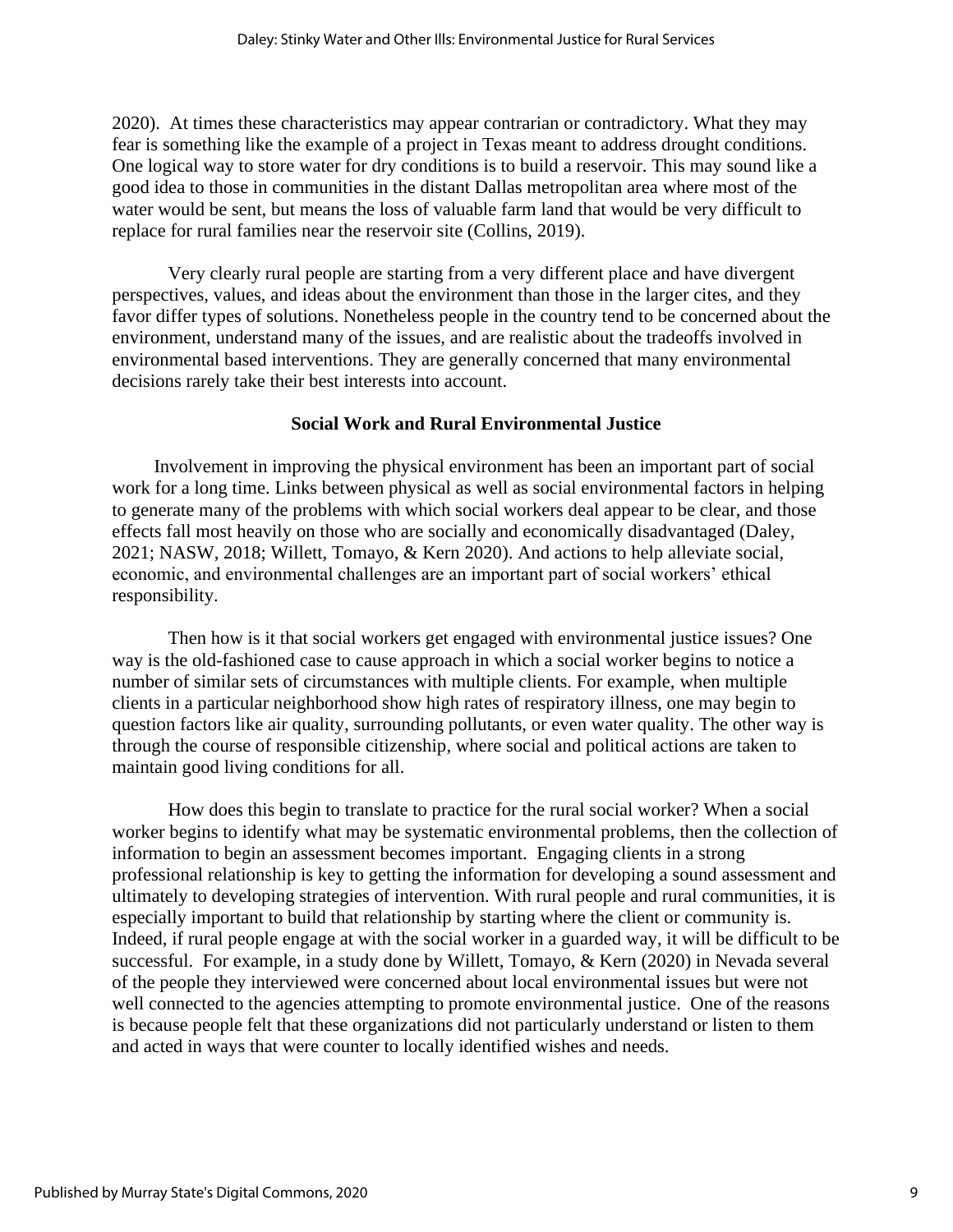2020). At times these characteristics may appear contrarian or contradictory. What they may fear is something like the example of a project in Texas meant to address drought conditions. One logical way to store water for dry conditions is to build a reservoir. This may sound like a good idea to those in communities in the distant Dallas metropolitan area where most of the water would be sent, but means the loss of valuable farm land that would be very difficult to replace for rural families near the reservoir site (Collins, 2019).

Very clearly rural people are starting from a very different place and have divergent perspectives, values, and ideas about the environment than those in the larger cites, and they favor differ types of solutions. Nonetheless people in the country tend to be concerned about the environment, understand many of the issues, and are realistic about the tradeoffs involved in environmental based interventions. They are generally concerned that many environmental decisions rarely take their best interests into account.

#### **Social Work and Rural Environmental Justice**

 Involvement in improving the physical environment has been an important part of social work for a long time. Links between physical as well as social environmental factors in helping to generate many of the problems with which social workers deal appear to be clear, and those effects fall most heavily on those who are socially and economically disadvantaged (Daley, 2021; NASW, 2018; Willett, Tomayo, & Kern 2020). And actions to help alleviate social, economic, and environmental challenges are an important part of social workers' ethical responsibility.

Then how is it that social workers get engaged with environmental justice issues? One way is the old-fashioned case to cause approach in which a social worker begins to notice a number of similar sets of circumstances with multiple clients. For example, when multiple clients in a particular neighborhood show high rates of respiratory illness, one may begin to question factors like air quality, surrounding pollutants, or even water quality. The other way is through the course of responsible citizenship, where social and political actions are taken to maintain good living conditions for all.

How does this begin to translate to practice for the rural social worker? When a social worker begins to identify what may be systematic environmental problems, then the collection of information to begin an assessment becomes important. Engaging clients in a strong professional relationship is key to getting the information for developing a sound assessment and ultimately to developing strategies of intervention. With rural people and rural communities, it is especially important to build that relationship by starting where the client or community is. Indeed, if rural people engage at with the social worker in a guarded way, it will be difficult to be successful. For example, in a study done by Willett, Tomayo, & Kern (2020) in Nevada several of the people they interviewed were concerned about local environmental issues but were not well connected to the agencies attempting to promote environmental justice. One of the reasons is because people felt that these organizations did not particularly understand or listen to them and acted in ways that were counter to locally identified wishes and needs.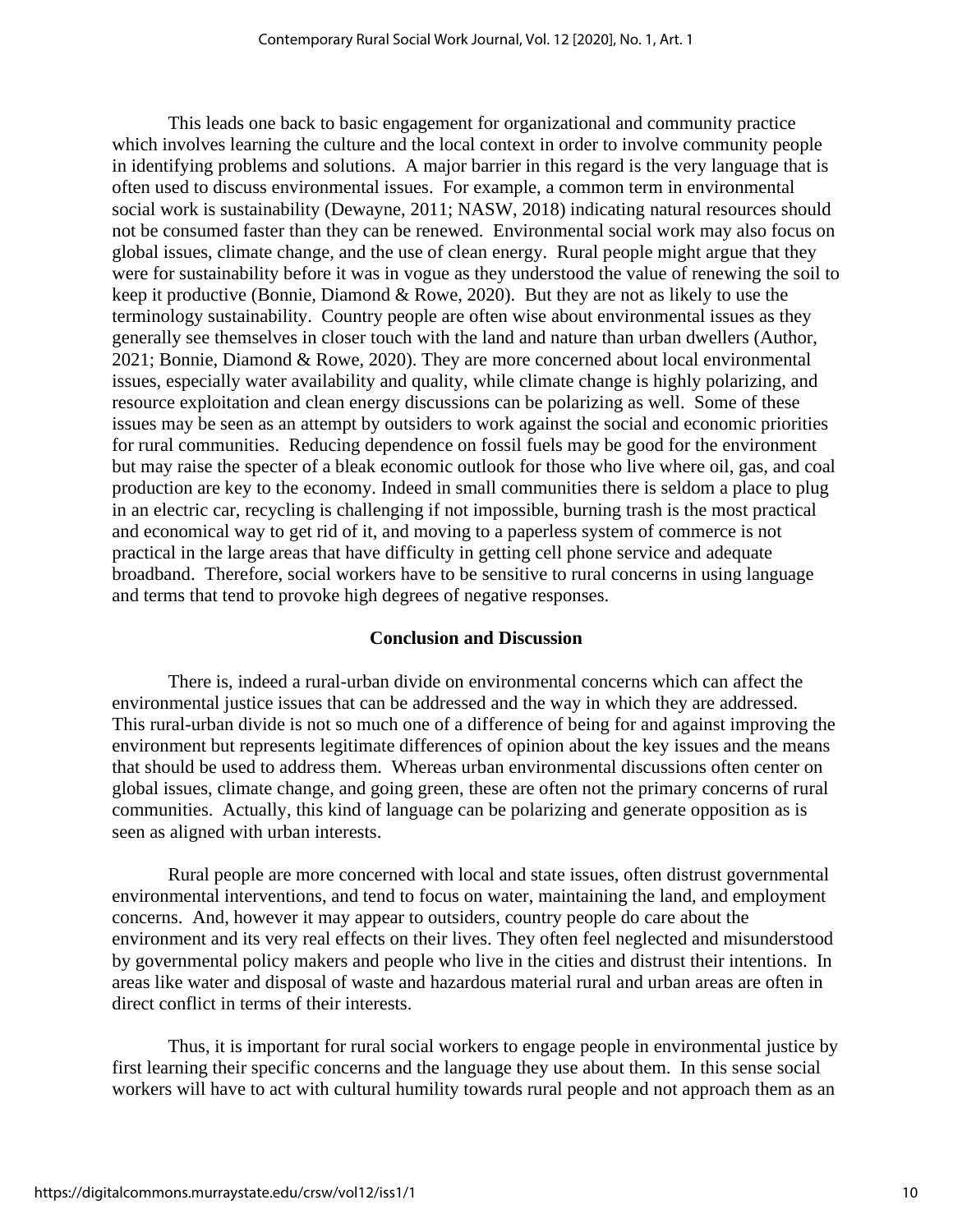This leads one back to basic engagement for organizational and community practice which involves learning the culture and the local context in order to involve community people in identifying problems and solutions. A major barrier in this regard is the very language that is often used to discuss environmental issues. For example, a common term in environmental social work is sustainability (Dewayne, 2011; NASW, 2018) indicating natural resources should not be consumed faster than they can be renewed. Environmental social work may also focus on global issues, climate change, and the use of clean energy. Rural people might argue that they were for sustainability before it was in vogue as they understood the value of renewing the soil to keep it productive (Bonnie, Diamond & Rowe, 2020). But they are not as likely to use the terminology sustainability. Country people are often wise about environmental issues as they generally see themselves in closer touch with the land and nature than urban dwellers (Author, 2021; Bonnie, Diamond & Rowe, 2020). They are more concerned about local environmental issues, especially water availability and quality, while climate change is highly polarizing, and resource exploitation and clean energy discussions can be polarizing as well. Some of these issues may be seen as an attempt by outsiders to work against the social and economic priorities for rural communities. Reducing dependence on fossil fuels may be good for the environment but may raise the specter of a bleak economic outlook for those who live where oil, gas, and coal production are key to the economy. Indeed in small communities there is seldom a place to plug in an electric car, recycling is challenging if not impossible, burning trash is the most practical and economical way to get rid of it, and moving to a paperless system of commerce is not practical in the large areas that have difficulty in getting cell phone service and adequate broadband. Therefore, social workers have to be sensitive to rural concerns in using language and terms that tend to provoke high degrees of negative responses.

#### **Conclusion and Discussion**

There is, indeed a rural-urban divide on environmental concerns which can affect the environmental justice issues that can be addressed and the way in which they are addressed. This rural-urban divide is not so much one of a difference of being for and against improving the environment but represents legitimate differences of opinion about the key issues and the means that should be used to address them. Whereas urban environmental discussions often center on global issues, climate change, and going green, these are often not the primary concerns of rural communities. Actually, this kind of language can be polarizing and generate opposition as is seen as aligned with urban interests.

Rural people are more concerned with local and state issues, often distrust governmental environmental interventions, and tend to focus on water, maintaining the land, and employment concerns. And, however it may appear to outsiders, country people do care about the environment and its very real effects on their lives. They often feel neglected and misunderstood by governmental policy makers and people who live in the cities and distrust their intentions. In areas like water and disposal of waste and hazardous material rural and urban areas are often in direct conflict in terms of their interests.

Thus, it is important for rural social workers to engage people in environmental justice by first learning their specific concerns and the language they use about them. In this sense social workers will have to act with cultural humility towards rural people and not approach them as an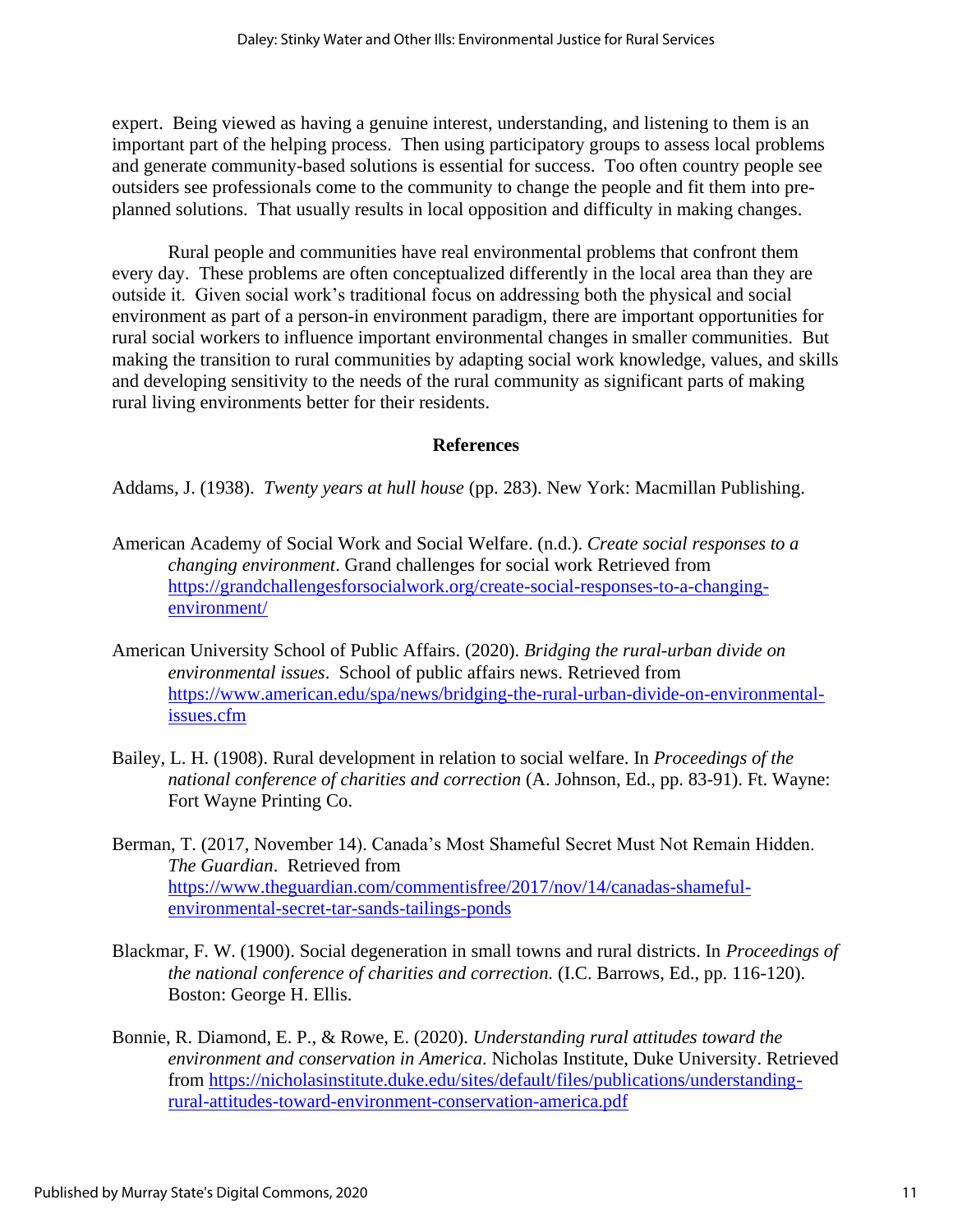expert. Being viewed as having a genuine interest, understanding, and listening to them is an important part of the helping process. Then using participatory groups to assess local problems and generate community-based solutions is essential for success. Too often country people see outsiders see professionals come to the community to change the people and fit them into preplanned solutions. That usually results in local opposition and difficulty in making changes.

Rural people and communities have real environmental problems that confront them every day. These problems are often conceptualized differently in the local area than they are outside it. Given social work's traditional focus on addressing both the physical and social environment as part of a person-in environment paradigm, there are important opportunities for rural social workers to influence important environmental changes in smaller communities. But making the transition to rural communities by adapting social work knowledge, values, and skills and developing sensitivity to the needs of the rural community as significant parts of making rural living environments better for their residents.

## **References**

Addams, J. (1938). *Twenty years at hull house* (pp. 283). New York: Macmillan Publishing.

- American Academy of Social Work and Social Welfare. (n.d.). *Create social responses to a changing environment*. Grand challenges for social work Retrieved from [https://grandchallengesforsocialwork.org/create-social-responses-to-a-changing](https://grandchallengesforsocialwork.org/create-social-responses-to-a-changing-environment/)[environment/](https://grandchallengesforsocialwork.org/create-social-responses-to-a-changing-environment/)
- American University School of Public Affairs. (2020). *Bridging the rural-urban divide on environmental issues*. School of public affairs news. Retrieved from [https://www.american.edu/spa/news/bridging-the-rural-urban-divide-on-environmental](https://www.american.edu/spa/news/bridging-the-rural-urban-divide-on-environmental-issues.cfm)[issues.cfm](https://www.american.edu/spa/news/bridging-the-rural-urban-divide-on-environmental-issues.cfm)
- Bailey, L. H. (1908). Rural development in relation to social welfare. In *Proceedings of the national conference of charities and correction* (A. Johnson, Ed., pp. 83-91). Ft. Wayne: Fort Wayne Printing Co.
- Berman, T. (2017, November 14). Canada's Most Shameful Secret Must Not Remain Hidden. *The Guardian*. Retrieved from [https://www.theguardian.com/commentisfree/2017/nov/14/canadas-shameful](https://www.theguardian.com/commentisfree/2017/nov/14/canadas-shameful-environmental-secret-tar-sands-tailings-ponds)[environmental-secret-tar-sands-tailings-ponds](https://www.theguardian.com/commentisfree/2017/nov/14/canadas-shameful-environmental-secret-tar-sands-tailings-ponds)
- Blackmar, F. W. (1900). Social degeneration in small towns and rural districts. In *Proceedings of the national conference of charities and correction.* (I.C. Barrows, Ed., pp. 116-120). Boston: George H. Ellis.
- Bonnie, R. Diamond, E. P., & Rowe, E. (2020). *Understanding rural attitudes toward the environment and conservation in America*. Nicholas Institute, Duke University. Retrieved from [https://nicholasinstitute.duke.edu/sites/default/files/publications/understanding](https://nicholasinstitute.duke.edu/sites/default/files/publications/understanding-rural-attitudes-toward-environment-conservation-america.pdf)[rural-attitudes-toward-environment-conservation-america.pdf](https://nicholasinstitute.duke.edu/sites/default/files/publications/understanding-rural-attitudes-toward-environment-conservation-america.pdf)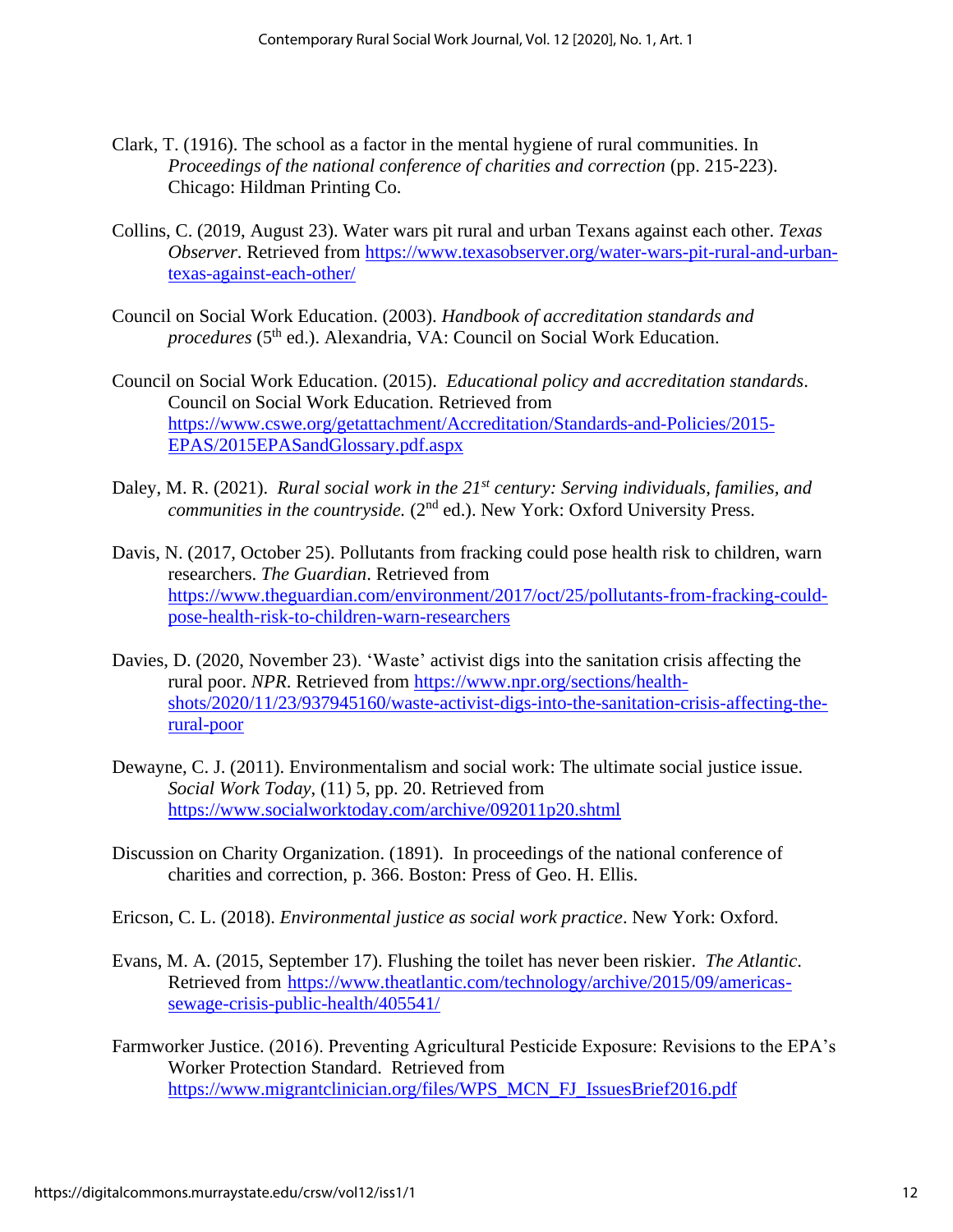- Clark, T. (1916). The school as a factor in the mental hygiene of rural communities. In *Proceedings of the national conference of charities and correction (pp. 215-223).* Chicago: Hildman Printing Co.
- Collins, C. (2019, August 23). Water wars pit rural and urban Texans against each other. *Texas Observer*. Retrieved from [https://www.texasobserver.org/water-wars-pit-rural-and-urban](https://www.texasobserver.org/water-wars-pit-rural-and-urban-texas-against-each-other/)[texas-against-each-other/](https://www.texasobserver.org/water-wars-pit-rural-and-urban-texas-against-each-other/)
- Council on Social Work Education. (2003). *Handbook of accreditation standards and procedures* (5<sup>th</sup> ed.). Alexandria, VA: Council on Social Work Education.
- Council on Social Work Education. (2015). *Educational policy and accreditation standards*. Council on Social Work Education. Retrieved from [https://www.cswe.org/getattachment/Accreditation/Standards-and-Policies/2015-](https://www.cswe.org/getattachment/Accreditation/Standards-and-Policies/2015-EPAS/2015EPASandGlossary.pdf.aspx) [EPAS/2015EPASandGlossary.pdf.aspx](https://www.cswe.org/getattachment/Accreditation/Standards-and-Policies/2015-EPAS/2015EPASandGlossary.pdf.aspx)
- Daley, M. R. (2021). *Rural social work in the 21st century: Serving individuals, families, and communities in the countryside.* (2<sup>nd</sup> ed.). New York: Oxford University Press.
- Davis, N. (2017, October 25). Pollutants from fracking could pose health risk to children, warn researchers. *The Guardian*. Retrieved from [https://www.theguardian.com/environment/2017/oct/25/pollutants-from-fracking-could](https://www.theguardian.com/environment/2017/oct/25/pollutants-from-fracking-could-pose-health-risk-to-children-warn-researchers)[pose-health-risk-to-children-warn-researchers](https://www.theguardian.com/environment/2017/oct/25/pollutants-from-fracking-could-pose-health-risk-to-children-warn-researchers)
- Davies, D. (2020, November 23). 'Waste' activist digs into the sanitation crisis affecting the rural poor. *NPR*. Retrieved from [https://www.npr.org/sections/health](https://www.npr.org/sections/health-shots/2020/11/23/937945160/waste-activist-digs-into-the-sanitation-crisis-affecting-the-rural-poor)[shots/2020/11/23/937945160/waste-activist-digs-into-the-sanitation-crisis-affecting-the](https://www.npr.org/sections/health-shots/2020/11/23/937945160/waste-activist-digs-into-the-sanitation-crisis-affecting-the-rural-poor)[rural-poor](https://www.npr.org/sections/health-shots/2020/11/23/937945160/waste-activist-digs-into-the-sanitation-crisis-affecting-the-rural-poor)
- Dewayne, C. J. (2011). Environmentalism and social work: The ultimate social justice issue. *Social Work Today*, (11) 5, pp. 20. Retrieved from <https://www.socialworktoday.com/archive/092011p20.shtml>
- Discussion on Charity Organization. (1891). In proceedings of the national conference of charities and correction, p. 366. Boston: Press of Geo. H. Ellis.
- Ericson, C. L. (2018). *Environmental justice as social work practice*. New York: Oxford.
- Evans, M. A. (2015, September 17). Flushing the toilet has never been riskier. *The Atlantic*. Retrieved from [https://www.theatlantic.com/technology/archive/2015/09/americas](https://www.theatlantic.com/technology/archive/2015/09/americas-sewage-crisis-public-health/405541/)[sewage-crisis-public-health/405541/](https://www.theatlantic.com/technology/archive/2015/09/americas-sewage-crisis-public-health/405541/)
- Farmworker Justice. (2016). Preventing Agricultural Pesticide Exposure: Revisions to the EPA's Worker Protection Standard. Retrieved from [https://www.migrantclinician.org/files/WPS\\_MCN\\_FJ\\_IssuesBrief2016.pdf](https://www.migrantclinician.org/files/WPS_MCN_FJ_IssuesBrief2016.pdf)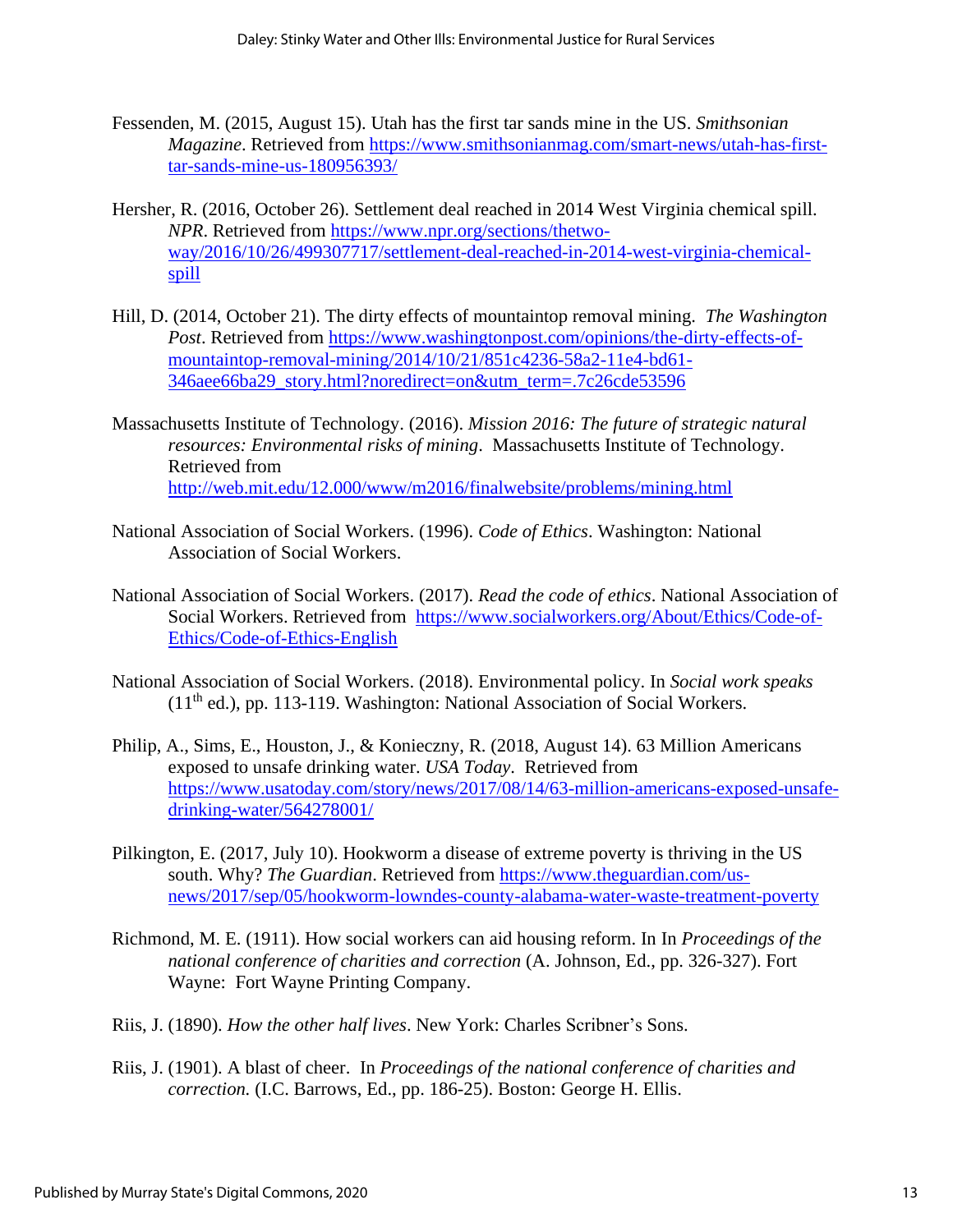- Fessenden, M. (2015, August 15). Utah has the first tar sands mine in the US. *Smithsonian Magazine*. Retrieved from [https://www.smithsonianmag.com/smart-news/utah-has-first](https://www.smithsonianmag.com/smart-news/utah-has-first-tar-sands-mine-us-180956393/)[tar-sands-mine-us-180956393/](https://www.smithsonianmag.com/smart-news/utah-has-first-tar-sands-mine-us-180956393/)
- Hersher, R. (2016, October 26). Settlement deal reached in 2014 West Virginia chemical spill. *NPR*. Retrieved from [https://www.npr.org/sections/thetwo](https://www.npr.org/sections/thetwo-way/2016/10/26/499307717/settlement-deal-reached-in-2014-west-virginia-chemical-spill)[way/2016/10/26/499307717/settlement-deal-reached-in-2014-west-virginia-chemical](https://www.npr.org/sections/thetwo-way/2016/10/26/499307717/settlement-deal-reached-in-2014-west-virginia-chemical-spill)[spill](https://www.npr.org/sections/thetwo-way/2016/10/26/499307717/settlement-deal-reached-in-2014-west-virginia-chemical-spill)
- Hill, D. (2014, October 21). The dirty effects of mountaintop removal mining. *The Washington Post*. Retrieved from [https://www.washingtonpost.com/opinions/the-dirty-effects-of](https://www.washingtonpost.com/opinions/the-dirty-effects-of-mountaintop-removal-mining/2014/10/21/851c4236-58a2-11e4-bd61-346aee66ba29_story.html?noredirect=on&utm_term=.7c26cde53596)[mountaintop-removal-mining/2014/10/21/851c4236-58a2-11e4-bd61-](https://www.washingtonpost.com/opinions/the-dirty-effects-of-mountaintop-removal-mining/2014/10/21/851c4236-58a2-11e4-bd61-346aee66ba29_story.html?noredirect=on&utm_term=.7c26cde53596) [346aee66ba29\\_story.html?noredirect=on&utm\\_term=.7c26cde53596](https://www.washingtonpost.com/opinions/the-dirty-effects-of-mountaintop-removal-mining/2014/10/21/851c4236-58a2-11e4-bd61-346aee66ba29_story.html?noredirect=on&utm_term=.7c26cde53596)
- Massachusetts Institute of Technology. (2016). *Mission 2016: The future of strategic natural resources: Environmental risks of mining*. Massachusetts Institute of Technology. Retrieved from <http://web.mit.edu/12.000/www/m2016/finalwebsite/problems/mining.html>
- National Association of Social Workers. (1996). *Code of Ethics*. Washington: National Association of Social Workers.
- National Association of Social Workers. (2017). *Read the code of ethics*. National Association of Social Workers. Retrieved from [https://www.socialworkers.org/About/Ethics/Code-of-](https://www.socialworkers.org/About/Ethics/Code-of-Ethics/Code-of-Ethics-English)[Ethics/Code-of-Ethics-English](https://www.socialworkers.org/About/Ethics/Code-of-Ethics/Code-of-Ethics-English)
- National Association of Social Workers. (2018). Environmental policy. In *Social work speaks* (11th ed.), pp. 113-119. Washington: National Association of Social Workers.
- Philip, A., Sims, E., Houston, J., & Konieczny, R. (2018, August 14). 63 Million Americans exposed to unsafe drinking water. *USA Today*. Retrieved from [https://www.usatoday.com/story/news/2017/08/14/63-million-americans-exposed-unsafe](https://www.usatoday.com/story/news/2017/08/14/63-million-americans-exposed-unsafe-drinking-water/564278001/)[drinking-water/564278001/](https://www.usatoday.com/story/news/2017/08/14/63-million-americans-exposed-unsafe-drinking-water/564278001/)
- Pilkington, E. (2017, July 10). Hookworm a disease of extreme poverty is thriving in the US south. Why? *The Guardian*. Retrieved from [https://www.theguardian.com/us](https://www.theguardian.com/us-news/2017/sep/05/hookworm-lowndes-county-alabama-water-waste-treatment-poverty)[news/2017/sep/05/hookworm-lowndes-county-alabama-water-waste-treatment-poverty](https://www.theguardian.com/us-news/2017/sep/05/hookworm-lowndes-county-alabama-water-waste-treatment-poverty)
- Richmond, M. E. (1911). How social workers can aid housing reform. In In *Proceedings of the national conference of charities and correction* (A. Johnson, Ed., pp. 326-327). Fort Wayne: Fort Wayne Printing Company.
- Riis, J. (1890). *How the other half lives*. New York: Charles Scribner's Sons.
- Riis, J. (1901). A blast of cheer. In *Proceedings of the national conference of charities and correction.* (I.C. Barrows, Ed., pp. 186-25). Boston: George H. Ellis.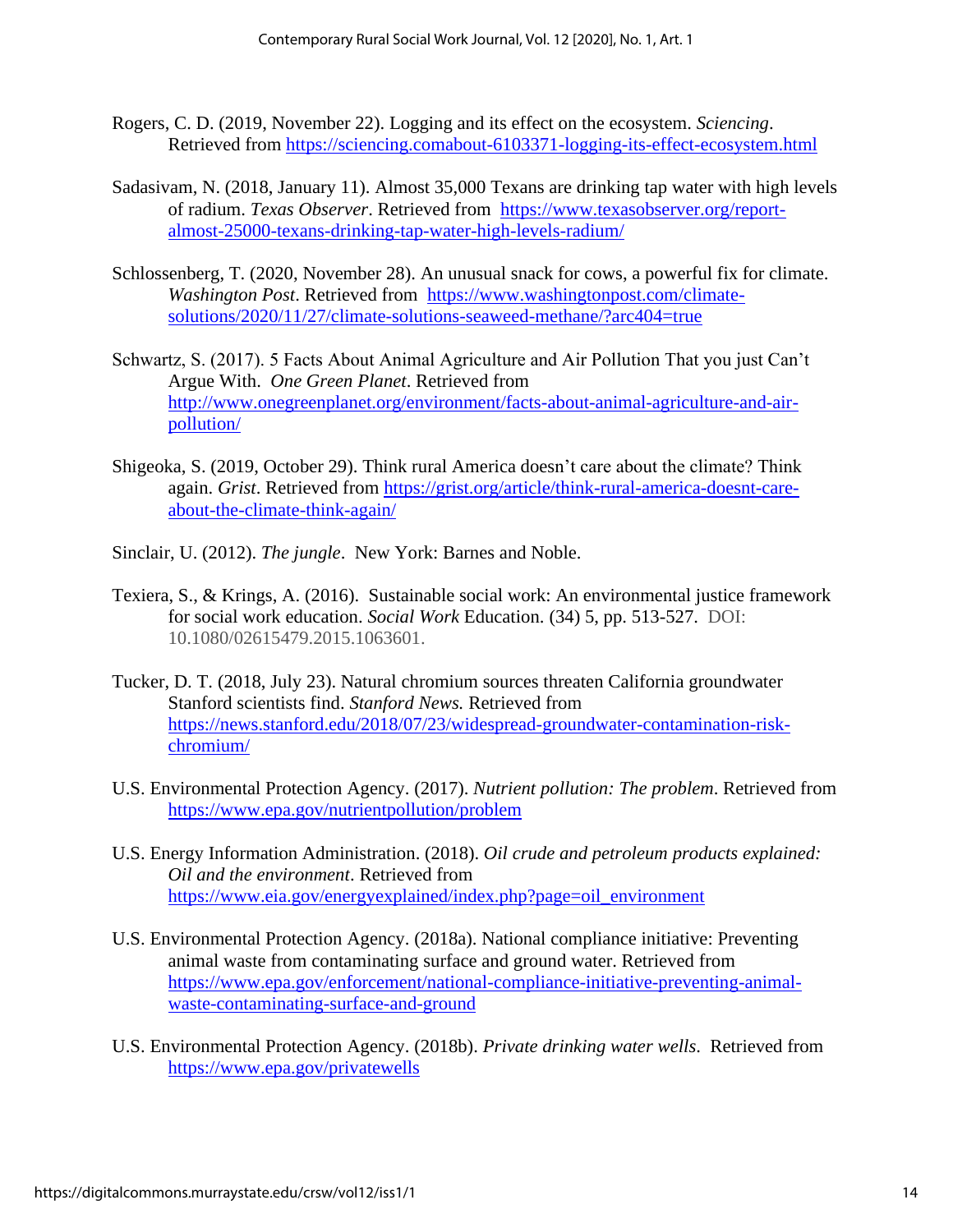- Rogers, C. D. (2019, November 22). Logging and its effect on the ecosystem. *Sciencing*. Retrieved from [https://sciencing.comabout-6103371-logging-its-effect-ecosystem.html](https://sciencing.comabout-6103371-logging-its-effect-ecosystem.html/)
- Sadasivam, N. (2018, January 11). Almost 35,000 Texans are drinking tap water with high levels of radium. *Texas Observer*. Retrieved from [https://www.texasobserver.org/report](https://www.texasobserver.org/report-almost-25000-texans-drinking-tap-water-high-levels-radium/)[almost-25000-texans-drinking-tap-water-high-levels-radium/](https://www.texasobserver.org/report-almost-25000-texans-drinking-tap-water-high-levels-radium/)
- Schlossenberg, T. (2020, November 28). An unusual snack for cows, a powerful fix for climate. *Washington Post*. Retrieved from [https://www.washingtonpost.com/climate](https://www.washingtonpost.com/climate-solutions/2020/11/27/climate-solutions-seaweed-methane/?arc404=true)[solutions/2020/11/27/climate-solutions-seaweed-methane/?arc404=true](https://www.washingtonpost.com/climate-solutions/2020/11/27/climate-solutions-seaweed-methane/?arc404=true)
- Schwartz, S. (2017). 5 Facts About Animal Agriculture and Air Pollution That you just Can't Argue With. *One Green Planet*. Retrieved from [http://www.onegreenplanet.org/environment/facts-about-animal-agriculture-and-air](http://www.onegreenplanet.org/environment/facts-about-animal-agriculture-and-air-pollution/)[pollution/](http://www.onegreenplanet.org/environment/facts-about-animal-agriculture-and-air-pollution/)
- Shigeoka, S. (2019, October 29). Think rural America doesn't care about the climate? Think again. *Grist*. Retrieved from [https://grist.org/article/think-rural-america-doesnt-care](https://grist.org/article/think-rural-america-doesnt-care-about-the-climate-think-again/)[about-the-climate-think-again/](https://grist.org/article/think-rural-america-doesnt-care-about-the-climate-think-again/)
- Sinclair, U. (2012). *The jungle*. New York: Barnes and Noble.
- Texiera, S., & Krings, A. (2016). Sustainable social work: An environmental justice framework for social work education. *Social Work* Education. (34) 5, pp. 513-527. DOI: 10.1080/02615479.2015.1063601.
- Tucker, D. T. (2018, July 23). Natural chromium sources threaten California groundwater Stanford scientists find. *Stanford News.* Retrieved from [https://news.stanford.edu/2018/07/23/widespread-groundwater-contamination-risk](https://news.stanford.edu/2018/07/23/widespread-groundwater-contamination-risk-chromium/)[chromium/](https://news.stanford.edu/2018/07/23/widespread-groundwater-contamination-risk-chromium/)
- U.S. Environmental Protection Agency. (2017). *Nutrient pollution: The problem*. Retrieved from <https://www.epa.gov/nutrientpollution/problem>
- U.S. Energy Information Administration. (2018). *Oil crude and petroleum products explained: Oil and the environment*. Retrieved from [https://www.eia.gov/energyexplained/index.php?page=oil\\_environment](https://www.eia.gov/energyexplained/index.php?page=oil_environment)
- U.S. Environmental Protection Agency. (2018a). National compliance initiative: Preventing animal waste from contaminating surface and ground water. Retrieved from [https://www.epa.gov/enforcement/national-compliance-initiative-preventing-animal](https://www.epa.gov/enforcement/national-compliance-initiative-preventing-animal-waste-contaminating-surface-and-ground)[waste-contaminating-surface-and-ground](https://www.epa.gov/enforcement/national-compliance-initiative-preventing-animal-waste-contaminating-surface-and-ground)
- U.S. Environmental Protection Agency. (2018b). *Private drinking water wells*. Retrieved from <https://www.epa.gov/privatewells>